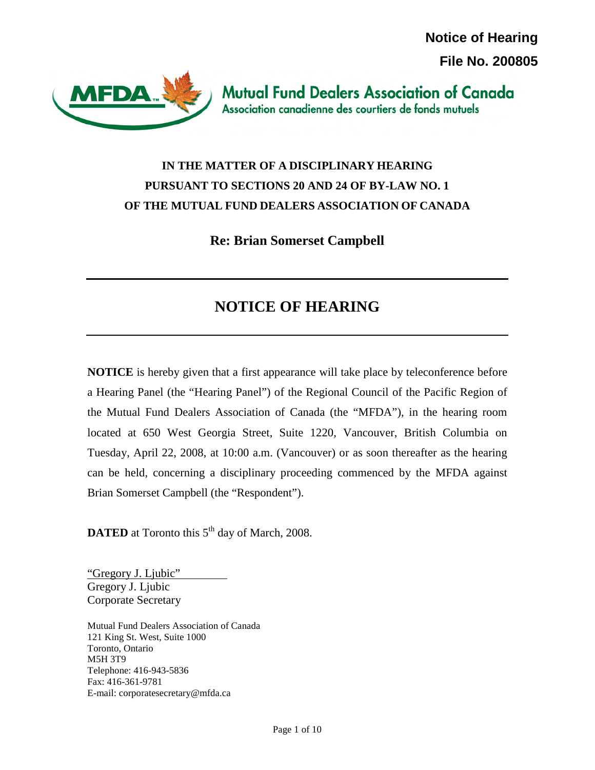**Notice of Hearing File No. 200805**



**Mutual Fund Dealers Association of Canada** Association canadienne des courtiers de fonds mutuels

# **IN THE MATTER OF A DISCIPLINARY HEARING PURSUANT TO SECTIONS 20 AND 24 OF BY-LAW NO. 1 OF THE MUTUAL FUND DEALERS ASSOCIATION OF CANADA**

**Re: Brian Somerset Campbell** 

# **NOTICE OF HEARING**

**NOTICE** is hereby given that a first appearance will take place by teleconference before a Hearing Panel (the "Hearing Panel") of the Regional Council of the Pacific Region of the Mutual Fund Dealers Association of Canada (the "MFDA"), in the hearing room located at 650 West Georgia Street, Suite 1220, Vancouver, British Columbia on Tuesday, April 22, 2008, at 10:00 a.m. (Vancouver) or as soon thereafter as the hearing can be held, concerning a disciplinary proceeding commenced by the MFDA against Brian Somerset Campbell (the "Respondent").

**DATED** at Toronto this 5<sup>th</sup> day of March, 2008.

"Gregory J. Ljubic" Gregory J. Ljubic Corporate Secretary

Mutual Fund Dealers Association of Canada 121 King St. West, Suite 1000 Toronto, Ontario M5H 3T9 Telephone: 416-943-5836 Fax: 416-361-9781 E-mail: corporatesecretary@mfda.ca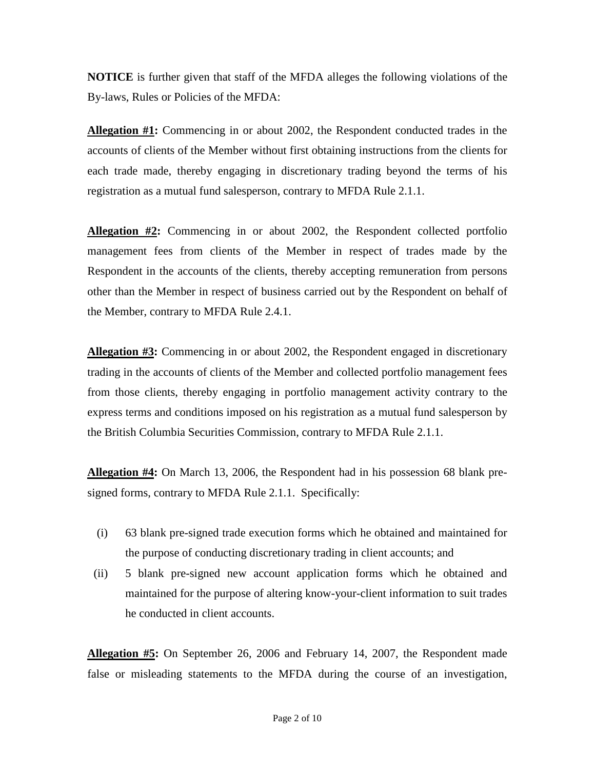**NOTICE** is further given that staff of the MFDA alleges the following violations of the By-laws, Rules or Policies of the MFDA:

**Allegation #1:** Commencing in or about 2002, the Respondent conducted trades in the accounts of clients of the Member without first obtaining instructions from the clients for each trade made, thereby engaging in discretionary trading beyond the terms of his registration as a mutual fund salesperson, contrary to MFDA Rule 2.1.1.

**Allegation #2:** Commencing in or about 2002, the Respondent collected portfolio management fees from clients of the Member in respect of trades made by the Respondent in the accounts of the clients, thereby accepting remuneration from persons other than the Member in respect of business carried out by the Respondent on behalf of the Member, contrary to MFDA Rule 2.4.1.

**Allegation #3:** Commencing in or about 2002, the Respondent engaged in discretionary trading in the accounts of clients of the Member and collected portfolio management fees from those clients, thereby engaging in portfolio management activity contrary to the express terms and conditions imposed on his registration as a mutual fund salesperson by the British Columbia Securities Commission, contrary to MFDA Rule 2.1.1.

**Allegation #4:** On March 13, 2006, the Respondent had in his possession 68 blank presigned forms, contrary to MFDA Rule 2.1.1. Specifically:

- (i) 63 blank pre-signed trade execution forms which he obtained and maintained for the purpose of conducting discretionary trading in client accounts; and
- (ii) 5 blank pre-signed new account application forms which he obtained and maintained for the purpose of altering know-your-client information to suit trades he conducted in client accounts.

**Allegation #5:** On September 26, 2006 and February 14, 2007, the Respondent made false or misleading statements to the MFDA during the course of an investigation,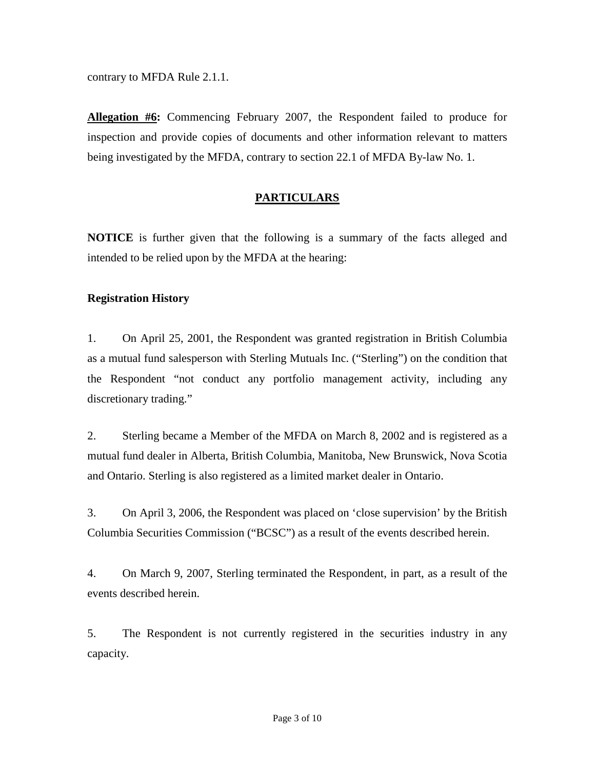contrary to MFDA Rule 2.1.1.

**Allegation #6:** Commencing February 2007, the Respondent failed to produce for inspection and provide copies of documents and other information relevant to matters being investigated by the MFDA, contrary to section 22.1 of MFDA By-law No. 1.

# **PARTICULARS**

**NOTICE** is further given that the following is a summary of the facts alleged and intended to be relied upon by the MFDA at the hearing:

#### **Registration History**

1. On April 25, 2001, the Respondent was granted registration in British Columbia as a mutual fund salesperson with Sterling Mutuals Inc. ("Sterling") on the condition that the Respondent "not conduct any portfolio management activity, including any discretionary trading."

2. Sterling became a Member of the MFDA on March 8, 2002 and is registered as a mutual fund dealer in Alberta, British Columbia, Manitoba, New Brunswick, Nova Scotia and Ontario. Sterling is also registered as a limited market dealer in Ontario.

3. On April 3, 2006, the Respondent was placed on 'close supervision' by the British Columbia Securities Commission ("BCSC") as a result of the events described herein.

4. On March 9, 2007, Sterling terminated the Respondent, in part, as a result of the events described herein.

5. The Respondent is not currently registered in the securities industry in any capacity.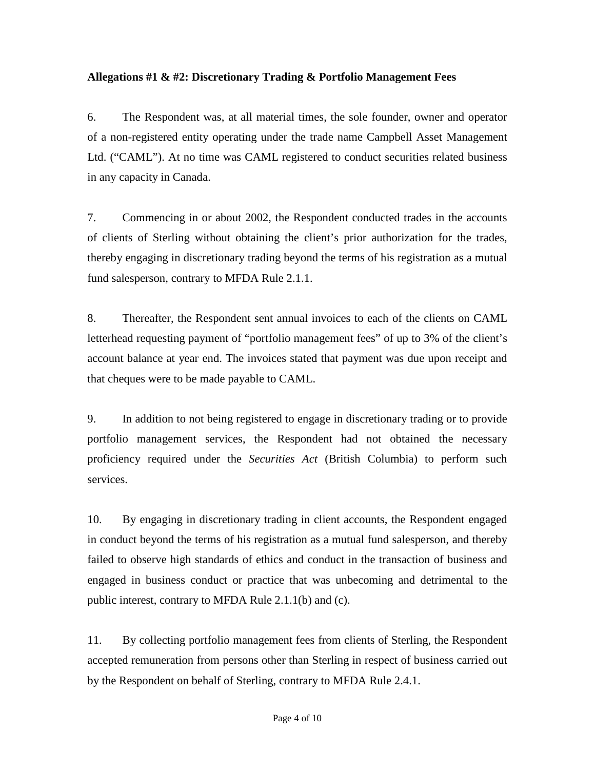## **Allegations #1 & #2: Discretionary Trading & Portfolio Management Fees**

6. The Respondent was, at all material times, the sole founder, owner and operator of a non-registered entity operating under the trade name Campbell Asset Management Ltd. ("CAML"). At no time was CAML registered to conduct securities related business in any capacity in Canada.

7. Commencing in or about 2002, the Respondent conducted trades in the accounts of clients of Sterling without obtaining the client's prior authorization for the trades, thereby engaging in discretionary trading beyond the terms of his registration as a mutual fund salesperson, contrary to MFDA Rule 2.1.1.

8. Thereafter, the Respondent sent annual invoices to each of the clients on CAML letterhead requesting payment of "portfolio management fees" of up to 3% of the client's account balance at year end. The invoices stated that payment was due upon receipt and that cheques were to be made payable to CAML.

9. In addition to not being registered to engage in discretionary trading or to provide portfolio management services, the Respondent had not obtained the necessary proficiency required under the *Securities Act* (British Columbia) to perform such services.

10. By engaging in discretionary trading in client accounts, the Respondent engaged in conduct beyond the terms of his registration as a mutual fund salesperson, and thereby failed to observe high standards of ethics and conduct in the transaction of business and engaged in business conduct or practice that was unbecoming and detrimental to the public interest, contrary to MFDA Rule 2.1.1(b) and (c).

11. By collecting portfolio management fees from clients of Sterling, the Respondent accepted remuneration from persons other than Sterling in respect of business carried out by the Respondent on behalf of Sterling, contrary to MFDA Rule 2.4.1.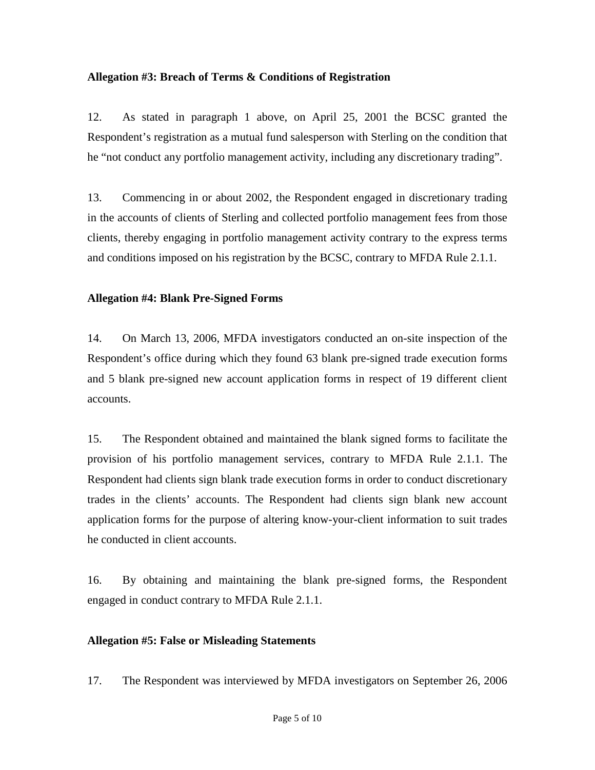#### **Allegation #3: Breach of Terms & Conditions of Registration**

12. As stated in paragraph 1 above, on April 25, 2001 the BCSC granted the Respondent's registration as a mutual fund salesperson with Sterling on the condition that he "not conduct any portfolio management activity, including any discretionary trading".

13. Commencing in or about 2002, the Respondent engaged in discretionary trading in the accounts of clients of Sterling and collected portfolio management fees from those clients, thereby engaging in portfolio management activity contrary to the express terms and conditions imposed on his registration by the BCSC, contrary to MFDA Rule 2.1.1.

#### **Allegation #4: Blank Pre-Signed Forms**

14. On March 13, 2006, MFDA investigators conducted an on-site inspection of the Respondent's office during which they found 63 blank pre-signed trade execution forms and 5 blank pre-signed new account application forms in respect of 19 different client accounts.

15. The Respondent obtained and maintained the blank signed forms to facilitate the provision of his portfolio management services, contrary to MFDA Rule 2.1.1. The Respondent had clients sign blank trade execution forms in order to conduct discretionary trades in the clients' accounts. The Respondent had clients sign blank new account application forms for the purpose of altering know-your-client information to suit trades he conducted in client accounts.

16. By obtaining and maintaining the blank pre-signed forms, the Respondent engaged in conduct contrary to MFDA Rule 2.1.1.

## **Allegation #5: False or Misleading Statements**

17. The Respondent was interviewed by MFDA investigators on September 26, 2006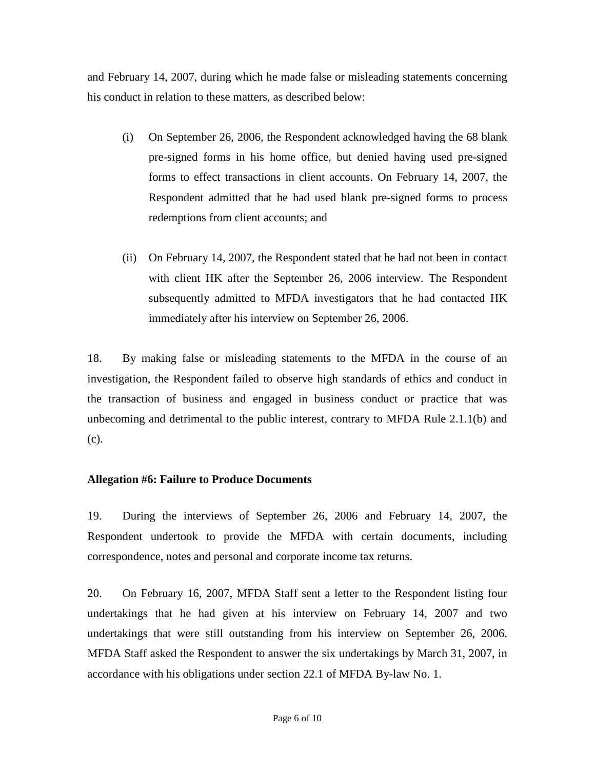and February 14, 2007, during which he made false or misleading statements concerning his conduct in relation to these matters, as described below:

- (i) On September 26, 2006, the Respondent acknowledged having the 68 blank pre-signed forms in his home office, but denied having used pre-signed forms to effect transactions in client accounts. On February 14, 2007, the Respondent admitted that he had used blank pre-signed forms to process redemptions from client accounts; and
- (ii) On February 14, 2007, the Respondent stated that he had not been in contact with client HK after the September 26, 2006 interview. The Respondent subsequently admitted to MFDA investigators that he had contacted HK immediately after his interview on September 26, 2006.

18. By making false or misleading statements to the MFDA in the course of an investigation, the Respondent failed to observe high standards of ethics and conduct in the transaction of business and engaged in business conduct or practice that was unbecoming and detrimental to the public interest, contrary to MFDA Rule 2.1.1(b) and (c).

## **Allegation #6: Failure to Produce Documents**

19. During the interviews of September 26, 2006 and February 14, 2007, the Respondent undertook to provide the MFDA with certain documents, including correspondence, notes and personal and corporate income tax returns.

20. On February 16, 2007, MFDA Staff sent a letter to the Respondent listing four undertakings that he had given at his interview on February 14, 2007 and two undertakings that were still outstanding from his interview on September 26, 2006. MFDA Staff asked the Respondent to answer the six undertakings by March 31, 2007, in accordance with his obligations under section 22.1 of MFDA By-law No. 1.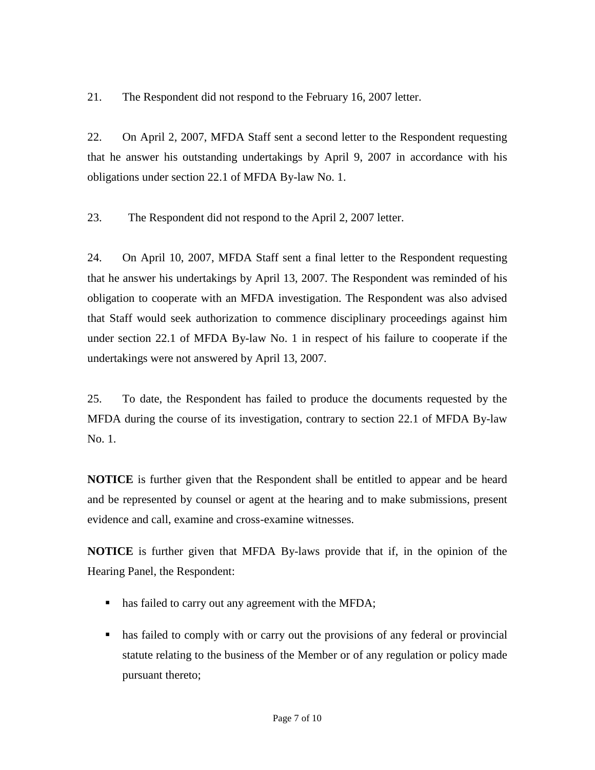21. The Respondent did not respond to the February 16, 2007 letter.

22. On April 2, 2007, MFDA Staff sent a second letter to the Respondent requesting that he answer his outstanding undertakings by April 9, 2007 in accordance with his obligations under section 22.1 of MFDA By-law No. 1.

23. The Respondent did not respond to the April 2, 2007 letter.

24. On April 10, 2007, MFDA Staff sent a final letter to the Respondent requesting that he answer his undertakings by April 13, 2007. The Respondent was reminded of his obligation to cooperate with an MFDA investigation. The Respondent was also advised that Staff would seek authorization to commence disciplinary proceedings against him under section 22.1 of MFDA By-law No. 1 in respect of his failure to cooperate if the undertakings were not answered by April 13, 2007.

25. To date, the Respondent has failed to produce the documents requested by the MFDA during the course of its investigation, contrary to section 22.1 of MFDA By-law No. 1.

**NOTICE** is further given that the Respondent shall be entitled to appear and be heard and be represented by counsel or agent at the hearing and to make submissions, present evidence and call, examine and cross-examine witnesses.

**NOTICE** is further given that MFDA By-laws provide that if, in the opinion of the Hearing Panel, the Respondent:

- has failed to carry out any agreement with the MFDA;
- has failed to comply with or carry out the provisions of any federal or provincial statute relating to the business of the Member or of any regulation or policy made pursuant thereto;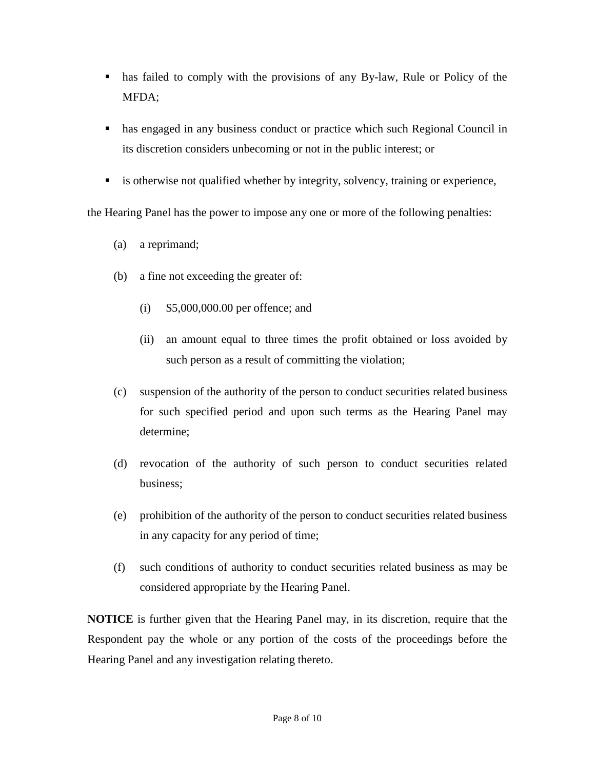- has failed to comply with the provisions of any By-law, Rule or Policy of the MFDA;
- has engaged in any business conduct or practice which such Regional Council in its discretion considers unbecoming or not in the public interest; or
- is otherwise not qualified whether by integrity, solvency, training or experience,

the Hearing Panel has the power to impose any one or more of the following penalties:

- (a) a reprimand;
- (b) a fine not exceeding the greater of:
	- (i) \$5,000,000.00 per offence; and
	- (ii) an amount equal to three times the profit obtained or loss avoided by such person as a result of committing the violation;
- (c) suspension of the authority of the person to conduct securities related business for such specified period and upon such terms as the Hearing Panel may determine;
- (d) revocation of the authority of such person to conduct securities related business;
- (e) prohibition of the authority of the person to conduct securities related business in any capacity for any period of time;
- (f) such conditions of authority to conduct securities related business as may be considered appropriate by the Hearing Panel.

**NOTICE** is further given that the Hearing Panel may, in its discretion, require that the Respondent pay the whole or any portion of the costs of the proceedings before the Hearing Panel and any investigation relating thereto.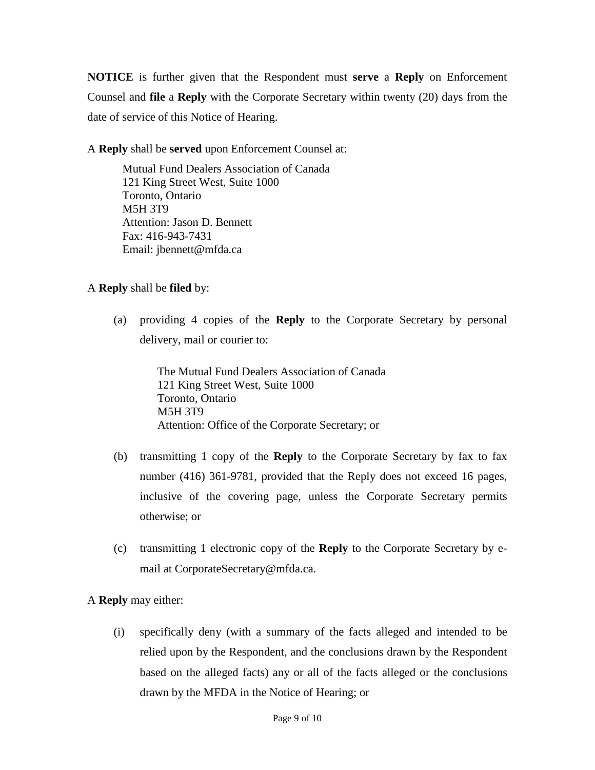**NOTICE** is further given that the Respondent must **serve** a **Reply** on Enforcement Counsel and **file** a **Reply** with the Corporate Secretary within twenty (20) days from the date of service of this Notice of Hearing.

A **Reply** shall be **served** upon Enforcement Counsel at:

 Mutual Fund Dealers Association of Canada 121 King Street West, Suite 1000 Toronto, Ontario M5H 3T9 Attention: Jason D. Bennett Fax: 416-943-7431 Email: jbennett@mfda.ca

## A **Reply** shall be **filed** by:

(a) providing 4 copies of the **Reply** to the Corporate Secretary by personal delivery, mail or courier to:

> The Mutual Fund Dealers Association of Canada 121 King Street West, Suite 1000 Toronto, Ontario M5H 3T9 Attention: Office of the Corporate Secretary; or

- (b) transmitting 1 copy of the **Reply** to the Corporate Secretary by fax to fax number (416) 361-9781, provided that the Reply does not exceed 16 pages, inclusive of the covering page, unless the Corporate Secretary permits otherwise; or
- (c) transmitting 1 electronic copy of the **Reply** to the Corporate Secretary by email at CorporateSecretary@mfda.ca.

A **Reply** may either:

(i) specifically deny (with a summary of the facts alleged and intended to be relied upon by the Respondent, and the conclusions drawn by the Respondent based on the alleged facts) any or all of the facts alleged or the conclusions drawn by the MFDA in the Notice of Hearing; or